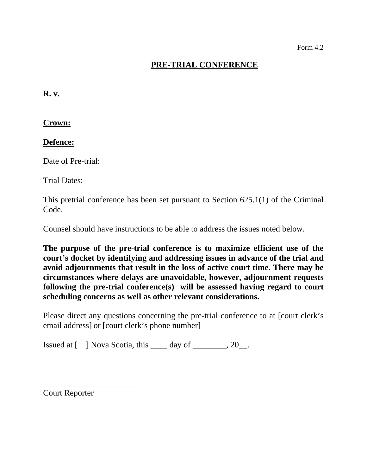## **PRE-TRIAL CONFERENCE**

**R. v.** 

**Crown:** 

**Defence:** 

Date of Pre-trial:

Trial Dates:

This pretrial conference has been set pursuant to Section 625.1(1) of the Criminal Code.

Counsel should have instructions to be able to address the issues noted below.

**The purpose of the pre-trial conference is to maximize efficient use of the court's docket by identifying and addressing issues in advance of the trial and avoid adjournments that result in the loss of active court time. There may be circumstances where delays are unavoidable, however, adjournment requests following the pre-trial conference(s) will be assessed having regard to court scheduling concerns as well as other relevant considerations.** 

Please direct any questions concerning the pre-trial conference to at [court clerk's email address] or [court clerk's phone number]

Issued at  $[$  ] Nova Scotia, this  $\_\_\_\$  day of  $\_\_\_\_\_$ , 20 $\_\_\_\_\$ .

Court Reporter

\_\_\_\_\_\_\_\_\_\_\_\_\_\_\_\_\_\_\_\_\_\_\_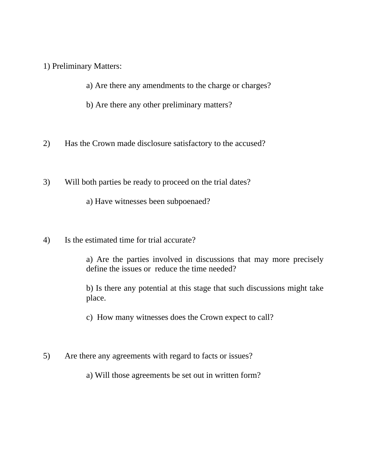1) Preliminary Matters:

a) Are there any amendments to the charge or charges?

b) Are there any other preliminary matters?

2) Has the Crown made disclosure satisfactory to the accused?

3) Will both parties be ready to proceed on the trial dates?

a) Have witnesses been subpoenaed?

4) Is the estimated time for trial accurate?

a) Are the parties involved in discussions that may more precisely define the issues or reduce the time needed?

b) Is there any potential at this stage that such discussions might take place.

c) How many witnesses does the Crown expect to call?

5) Are there any agreements with regard to facts or issues?

a) Will those agreements be set out in written form?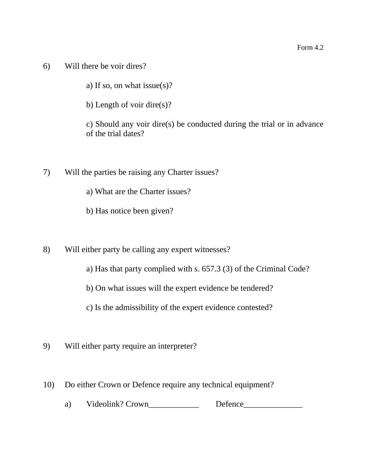6) Will there be voir dires?

a) If so, on what issue(s)?

b) Length of voir dire(s)?

c) Should any voir dire(s) be conducted during the trial or in advance of the trial dates?

- 7) Will the parties be raising any Charter issues?
	- a) What are the Charter issues?
	- b) Has notice been given?
- 8) Will either party be calling any expert witnesses?
	- a) Has that party complied with s. 657.3 (3) of the Criminal Code?
	- b) On what issues will the expert evidence be tendered?
	- c) Is the admissibility of the expert evidence contested?
- 9) Will either party require an interpreter?
- 10) Do either Crown or Defence require any technical equipment?
	- a) Videolink? Crown Defence